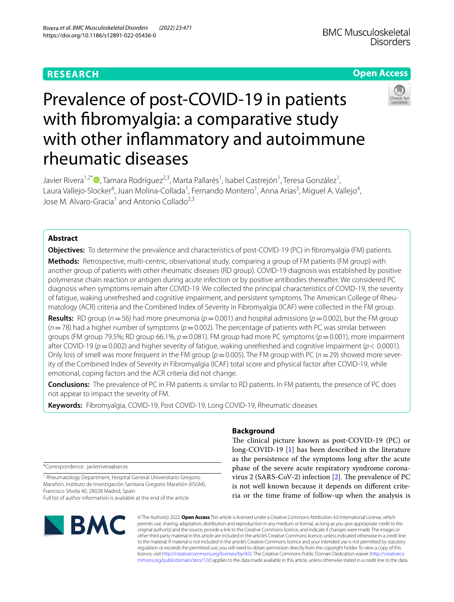# **RESEARCH**

# **Open Access**

# Prevalence of post-COVID-19 in patients with fbromyalgia: a comparative study with other infammatory and autoimmune rheumatic diseases

Javier Rivera<sup>1[,](https://orcid.org/0000-0001-8147-5881)2\*</sup>®, Tamara Rodríguez<sup>2,3</sup>, Marta Pallarés<sup>1</sup>, Isabel Castrejón<sup>1</sup>, Teresa González<sup>1</sup>, Laura Vallejo-Slocker<sup>4</sup>, Juan Molina-Collada<sup>1</sup>, Fernando Montero<sup>1</sup>, Anna Arias<sup>3</sup>, Miguel A. Vallejo<sup>4</sup>, Jose M. Alvaro-Gracia<sup>1</sup> and Antonio Collado<sup>2,3</sup>

# **Abstract**

**Objectives:** To determine the prevalence and characteristics of post-COVID-19 (PC) in fibromyalgia (FM) patients.

**Methods:** Retrospective, multi-centric, observational study, comparing a group of FM patients (FM group) with another group of patients with other rheumatic diseases (RD group). COVID-19 diagnosis was established by positive polymerase chain reaction or antigen during acute infection or by positive antibodies thereafter. We considered PC diagnosis when symptoms remain after COVID-19. We collected the principal characteristics of COVID-19, the severity of fatigue, waking unrefreshed and cognitive impairment, and persistent symptoms. The American College of Rheumatology (ACR) criteria and the Combined Index of Severity in Fibromyalgia (ICAF) were collected in the FM group.

**Results:** RD group ( $n=56$ ) had more pneumonia ( $p=0.001$ ) and hospital admissions ( $p=0.002$ ), but the FM group  $(n=78)$  had a higher number of symptoms ( $p=0.002$ ). The percentage of patients with PC was similar between groups (FM group 79.5%; RD group 66.1%, *p*=0.081). FM group had more PC symptoms (*p*=0.001), more impairment after COVID-19 ( $p=0.002$ ) and higher severity of fatigue, waking unrefreshed and cognitive impairment ( $p < 0.0001$ ). Only loss of smell was more frequent in the FM group ( $p=0.005$ ). The FM group with PC ( $n=29$ ) showed more severity of the Combined Index of Severity in Fibromyalgia (ICAF) total score and physical factor after COVID-19, while emotional, coping factors and the ACR criteria did not change.

**Conclusions:** The prevalence of PC in FM patients is similar to RD patients. In FM patients, the presence of PC does not appear to impact the severity of FM.

**Keywords:** Fibromyalgia, COVID-19, Post COVID-19, Long COVID-19, Rheumatic diseases

\*Correspondence: javierrivera@ser.es

<sup>1</sup> Rheumatology Department, Hospital General Universitario Gregorio Marañón. Instituto de Investigación Sanitaria Gregorio Marañón (IiSGM), Francisco Silvela 40, 28028 Madrid, Spain Full list of author information is available at the end of the article



## **Background**

The clinical picture known as post-COVID-19 (PC) or long-COVID-19 [\[1](#page-5-0)] has been described in the literature as the persistence of the symptoms long after the acute phase of the severe acute respiratory syndrome coronavirus 2 (SARS-CoV-2) infection  $[2]$  $[2]$ . The prevalence of PC is not well known because it depends on diferent criteria or the time frame of follow-up when the analysis is

© The Author(s) 2022. **Open Access** This article is licensed under a Creative Commons Attribution 4.0 International License, which permits use, sharing, adaptation, distribution and reproduction in any medium or format, as long as you give appropriate credit to the original author(s) and the source, provide a link to the Creative Commons licence, and indicate if changes were made. The images or other third party material in this article are included in the article's Creative Commons licence, unless indicated otherwise in a credit line to the material. If material is not included in the article's Creative Commons licence and your intended use is not permitted by statutory regulation or exceeds the permitted use, you will need to obtain permission directly from the copyright holder. To view a copy of this licence, visit [http://creativecommons.org/licenses/by/4.0/.](http://creativecommons.org/licenses/by/4.0/) The Creative Commons Public Domain Dedication waiver ([http://creativeco](http://creativecommons.org/publicdomain/zero/1.0/) [mmons.org/publicdomain/zero/1.0/](http://creativecommons.org/publicdomain/zero/1.0/)) applies to the data made available in this article, unless otherwise stated in a credit line to the data.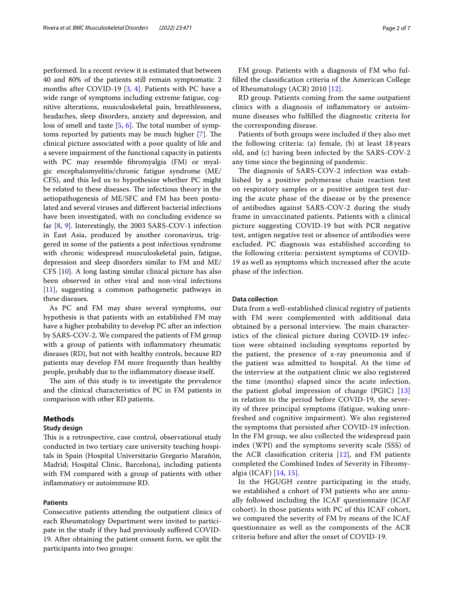performed. In a recent review it is estimated that between 40 and 80% of the patients still remain symptomatic 2 months after COVID-19 [[3,](#page-5-2) [4](#page-5-3)]. Patients with PC have a wide range of symptoms including extreme fatigue, cognitive alterations, musculoskeletal pain, breathlessness, headaches, sleep disorders, anxiety and depression, and loss of smell and taste  $[5, 6]$  $[5, 6]$  $[5, 6]$  $[5, 6]$ . The total number of symptoms reported by patients may be much higher  $[7]$  $[7]$ . The clinical picture associated with a poor quality of life and a severe impairment of the functional capacity in patients with PC may resemble fbromyalgia (FM) or myalgic encephalomyelitis/chronic fatigue syndrome (ME/ CFS), and this led us to hypothesize whether PC might be related to these diseases. The infectious theory in the aetiopathogenesis of ME/SFC and FM has been postulated and several viruses and diferent bacterial infections have been investigated, with no concluding evidence so far [\[8](#page-5-7), [9\]](#page-5-8). Interestingly, the 2003 SARS-COV-1 infection in East Asia, produced by another coronavirus, triggered in some of the patients a post infectious syndrome with chronic widespread musculoskeletal pain, fatigue, depression and sleep disorders similar to FM and ME/ CFS [\[10](#page-5-9)]. A long lasting similar clinical picture has also been observed in other viral and non-viral infections [[11\]](#page-5-10), suggesting a common pathogenetic pathways in these diseases.

As PC and FM may share several symptoms, our hypothesis is that patients with an established FM may have a higher probability to develop PC after an infection by SARS-COV-2. We compared the patients of FM group with a group of patients with infammatory rheumatic diseases (RD), but not with healthy controls, because RD patients may develop FM more frequently than healthy people, probably due to the infammatory disease itself.

The aim of this study is to investigate the prevalence and the clinical characteristics of PC in FM patients in comparison with other RD patients.

#### **Methods**

#### **Study design**

This is a retrospective, case control, observational study conducted in two tertiary care university teaching hospitals in Spain (Hospital Universitario Gregorio Marañón, Madrid; Hospital Clinic, Barcelona), including patients with FM compared with a group of patients with other infammatory or autoimmune RD.

#### **Patients**

Consecutive patients attending the outpatient clinics of each Rheumatology Department were invited to participate in the study if they had previously sufered COVID-19. After obtaining the patient consent form, we split the participants into two groups:

FM group. Patients with a diagnosis of FM who fulflled the classifcation criteria of the American College of Rheumatology (ACR) 2010 [\[12\]](#page-5-11).

RD group. Patients coming from the same outpatient clinics with a diagnosis of infammatory or autoimmune diseases who fulflled the diagnostic criteria for the corresponding disease.

Patients of both groups were included if they also met the following criteria: (a) female, (b) at least 18 years old, and (c) having been infected by the SARS-COV-2 any time since the beginning of pandemic.

The diagnosis of SARS-COV-2 infection was established by a positive polymerase chain reaction test on respiratory samples or a positive antigen test during the acute phase of the disease or by the presence of antibodies against SARS-COV-2 during the study frame in unvaccinated patients. Patients with a clinical picture suggesting COVID-19 but with PCR negative test, antigen negative test or absence of antibodies were excluded. PC diagnosis was established according to the following criteria: persistent symptoms of COVID-19 as well as symptoms which increased after the acute phase of the infection.

#### **Data collection**

Data from a well-established clinical registry of patients with FM were complemented with additional data obtained by a personal interview. The main characteristics of the clinical picture during COVID-19 infection were obtained including symptoms reported by the patient, the presence of x-ray pneumonia and if the patient was admitted to hospital. At the time of the interview at the outpatient clinic we also registered the time (months) elapsed since the acute infection, the patient global impression of change (PGIC) [\[13](#page-6-0)] in relation to the period before COVID-19, the severity of three principal symptoms (fatigue, waking unrefreshed and cognitive impairment). We also registered the symptoms that persisted after COVID-19 infection. In the FM group, we also collected the widespread pain index (WPI) and the symptoms severity scale (SSS) of the ACR classification criteria  $[12]$  $[12]$ , and FM patients completed the Combined Index of Severity in Fibromyalgia (ICAF) [[14,](#page-6-1) [15\]](#page-6-2).

In the HGUGH centre participating in the study, we established a cohort of FM patients who are annually followed including the ICAF questionnaire (ICAF cohort). In those patients with PC of this ICAF cohort, we compared the severity of FM by means of the ICAF questionnaire as well as the components of the ACR criteria before and after the onset of COVID-19.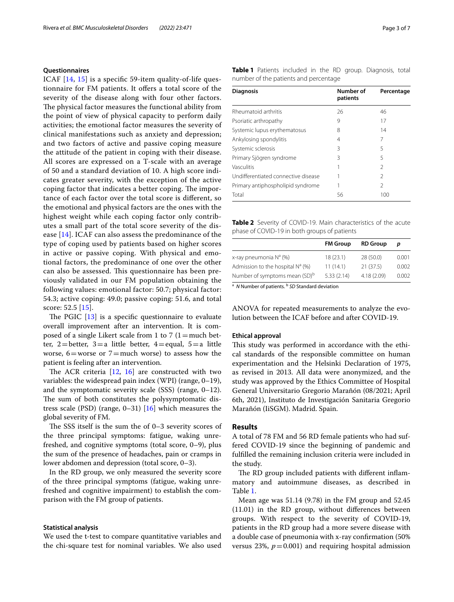### **Questionnaires**

ICAF [\[14](#page-6-1), [15\]](#page-6-2) is a specifc 59-item quality-of-life questionnaire for FM patients. It offers a total score of the severity of the disease along with four other factors. The physical factor measures the functional ability from the point of view of physical capacity to perform daily activities; the emotional factor measures the severity of clinical manifestations such as anxiety and depression; and two factors of active and passive coping measure the attitude of the patient in coping with their disease. All scores are expressed on a T-scale with an average of 50 and a standard deviation of 10. A high score indicates greater severity, with the exception of the active coping factor that indicates a better coping. The importance of each factor over the total score is diferent, so the emotional and physical factors are the ones with the highest weight while each coping factor only contributes a small part of the total score severity of the disease [\[14](#page-6-1)]. ICAF can also assess the predominance of the type of coping used by patients based on higher scores in active or passive coping. With physical and emotional factors, the predominance of one over the other can also be assessed. This questionnaire has been previously validated in our FM population obtaining the following values: emotional factor: 50.7; physical factor: 54.3; active coping: 49.0; passive coping: 51.6, and total score: 52.5 [[15](#page-6-2)].

The PGIC  $[13]$  $[13]$  is a specific questionnaire to evaluate overall improvement after an intervention. It is composed of a single Likert scale from 1 to 7 (1 = much better, 2=better, 3=a little better, 4=equal, 5=a little worse,  $6=$  worse or  $7=$  much worse) to assess how the patient is feeling after an intervention.

The ACR criteria  $[12, 16]$  $[12, 16]$  $[12, 16]$  $[12, 16]$  $[12, 16]$  are constructed with two variables: the widespread pain index (WPI) (range, 0–19), and the symptomatic severity scale (SSS) (range, 0–12). The sum of both constitutes the polysymptomatic distress scale (PSD) (range,  $0-31$ ) [\[16](#page-6-3)] which measures the global severity of FM.

The SSS itself is the sum the of  $0-3$  severity scores of the three principal symptoms: fatigue, waking unrefreshed, and cognitive symptoms (total score, 0–9), plus the sum of the presence of headaches, pain or cramps in lower abdomen and depression (total score, 0–3).

In the RD group, we only measured the severity score of the three principal symptoms (fatigue, waking unrefreshed and cognitive impairment) to establish the comparison with the FM group of patients.

#### **Statistical analysis**

We used the t-test to compare quantitative variables and the chi-square test for nominal variables. We also used <span id="page-2-0"></span>**Table 1** Patients included in the RD group. Diagnosis, total number of the patients and percentage

| <b>Diagnosis</b>                    | Number of<br>patients | Percentage     |  |
|-------------------------------------|-----------------------|----------------|--|
| Rheumatoid arthritis                | 26                    | 46             |  |
| Psoriatic arthropathy               | 9                     | 17             |  |
| Systemic lupus erythematosus        | 8                     | 14             |  |
| Ankylosing spondylitis              | 4                     | 7              |  |
| Systemic sclerosis                  | 3                     | 5              |  |
| Primary Sjögren syndrome            | 3                     | 5              |  |
| Vasculitis                          |                       | $\mathcal{P}$  |  |
| Undifferentiated connective disease |                       | $\mathcal{P}$  |  |
| Primary antiphospholipid syndrome   |                       | $\mathfrak{D}$ |  |
| Total                               | 56                    | 100            |  |

<span id="page-2-1"></span>**Table 2** Severity of COVID-19. Main characteristics of the acute phase of COVID-19 in both groups of patients

|                                           | <b>FM Group</b> | <b>RD Group</b> | D     |
|-------------------------------------------|-----------------|-----------------|-------|
| x-ray pneumonia N <sup>a</sup> (%)        | 18(23.1)        | 28 (50.0)       | 0.001 |
| Admission to the hospital $N^a$ (%)       | 11(14.1)        | 21(37.5)        | 0.002 |
| Number of symptoms mean (SD) <sup>b</sup> | 5.33(2.14)      | 4.18(2.09)      | 0.002 |

<sup>a</sup> N Number of patients. <sup>b</sup> SD Standard deviation

ANOVA for repeated measurements to analyze the evolution between the ICAF before and after COVID-19.

#### **Ethical approval**

This study was performed in accordance with the ethical standards of the responsible committee on human experimentation and the Helsinki Declaration of 1975, as revised in 2013. All data were anonymized, and the study was approved by the Ethics Committee of Hospital General Universitario Gregorio Marañón (08/2021; April 6th, 2021), Instituto de Investigación Sanitaria Gregorio Marañón (IiSGM). Madrid. Spain.

#### **Results**

A total of 78 FM and 56 RD female patients who had suffered COVID-19 since the beginning of pandemic and fulflled the remaining inclusion criteria were included in the study.

The RD group included patients with different inflammatory and autoimmune diseases, as described in Table [1](#page-2-0).

Mean age was 51.14 (9.78) in the FM group and 52.45 (11.01) in the RD group, without diferences between groups. With respect to the severity of COVID-19, patients in the RD group had a more severe disease with a double case of pneumonia with x-ray confrmation (50% versus 23%,  $p = 0.001$ ) and requiring hospital admission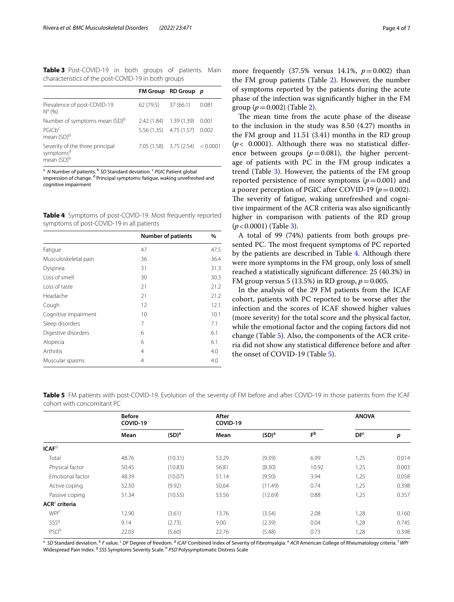<span id="page-3-0"></span>**Table 3** Post-COVID-19 in both groups of patients. Main characteristics of the post-COVID-19 in both groups

|                                                                                    |                         | FM Group RD Group p                |       |
|------------------------------------------------------------------------------------|-------------------------|------------------------------------|-------|
| Prevalence of post-COVID-19<br>$N^a (96)$                                          | 62 (79.5)               | 37(66.1)                           | 0.081 |
| Number of symptoms mean (SD) <sup>b</sup>                                          | 2.42 (1.84) 1.39 (1.39) |                                    | 0.001 |
| PGLCb <sup>c</sup><br>mean (SD) <sup>b</sup>                                       |                         | 5.56 (1.35) 4.75 (1.57) 0.002      |       |
| Severity of the three principal<br>symptoms <sup>d</sup><br>mean (SD) <sup>b</sup> |                         | $7.05(1.58)$ $3.75(2.54)$ < 0.0001 |       |

<sup>a</sup> N Number of patients. <sup>b</sup> SD Standard deviation. <sup>c</sup> PGIC Patient global

impression of change. <sup>d</sup> Principal symptoms: fatigue, waking unrefreshed and cognitive impairment

<span id="page-3-1"></span>**Table 4** Symptoms of post-COVID-19. Most frequently reported symptoms of post-COVID-19 in all patients

|                      | <b>Number of patients</b> | %    |
|----------------------|---------------------------|------|
| Fatique              | 47                        | 47.5 |
| Musculoskeletal pain | 36                        | 36.4 |
| Dyspnea              | 31                        | 31.3 |
| Loss of smell        | 30                        | 30.3 |
| Loss of taste        | 21                        | 21.2 |
| Headache             | 21                        | 21.2 |
| Cough                | 12                        | 12.1 |
| Cognitive impairment | 10                        | 10.1 |
| Sleep disorders      | 7                         | 7.1  |
| Digestive disorders  | 6                         | 6.1  |
| Alopecia             | 6                         | 6.1  |
| Arthritis            | $\overline{4}$            | 4.0  |
| Muscular spasms      | 4                         | 4.0  |

more frequently  $(37.5\% \text{ versus } 14.1\%, p=0.002)$  than the FM group patients (Table [2](#page-2-1)). However, the number of symptoms reported by the patients during the acute phase of the infection was signifcantly higher in the FM group  $(p=0.002)$  (Table [2\)](#page-2-1).

The mean time from the acute phase of the disease to the inclusion in the study was 8.50 (4.27) months in the FM group and 11.51 (3.41) months in the RD group (*p*< 0.0001). Although there was no statistical diference between groups  $(p=0.081)$ , the higher percentage of patients with PC in the FM group indicates a trend (Table [3](#page-3-0)). However, the patients of the FM group reported persistence of more symptoms  $(p=0.001)$  and a poorer perception of PGIC after COVID-19 ( $p = 0.002$ ). The severity of fatigue, waking unrefreshed and cognitive impairment of the ACR criteria was also signifcantly higher in comparison with patients of the RD group (*p*<0.0001) (Table [3](#page-3-0)).

A total of 99 (74%) patients from both groups presented PC. The most frequent symptoms of PC reported by the patients are described in Table [4](#page-3-1). Although there were more symptoms in the FM group, only loss of smell reached a statistically signifcant diference: 25 (40.3%) in FM group versus 5 (13.5%) in RD group, *p*=0.005.

In the analysis of the 29 FM patients from the ICAF cohort, patients with PC reported to be worse after the infection and the scores of ICAF showed higher values (more severity) for the total score and the physical factor, while the emotional factor and the coping factors did not change (Table [5\)](#page-3-2). Also, the components of the ACR criteria did not show any statistical diference before and after the onset of COVID-19 (Table [5](#page-3-2)).

<span id="page-3-2"></span>**Table 5** FM patients with post-COVID-19. Evolution of the severity of FM before and after COVID-19 in those patients from the ICAF cohort with concomitant PC

|                         | <b>Before</b><br>COVID-19 |                   | After<br>COVID-19 |                   |                | <b>ANOVA</b>    |       |
|-------------------------|---------------------------|-------------------|-------------------|-------------------|----------------|-----------------|-------|
|                         | Mean                      | (SD) <sup>a</sup> | Mean              | (SD) <sup>a</sup> | F <sub>p</sub> | DF <sup>c</sup> | p     |
| ICAF <sup>d</sup>       |                           |                   |                   |                   |                |                 |       |
| Total                   | 48.76                     | (10.31)           | 53.29             | (9.39)            | 6.99           | 1,25            | 0.014 |
| Physical factor         | 50.45                     | (10.83)           | 56.81             | (8.30)            | 10.92          | 1,25            | 0.003 |
| Emotional factor        | 48.39                     | (10.07)           | 51.14             | (9.50)            | 3.94           | 1,25            | 0.058 |
| Active coping           | 52.50                     | (9.92)            | 50.64             | (11.49)           | 0.74           | 1,25            | 0.398 |
| Passive coping          | 51.34                     | (10.55)           | 53.56             | (12.69)           | 0.88           | 1,25            | 0.357 |
| $ACRe$ criteria         |                           |                   |                   |                   |                |                 |       |
| <b>WPI</b> <sup>f</sup> | 12.90                     | (3.61)            | 13.76             | (3.54)            | 2.08           | 1,28            | 0.160 |
| SSS <sup>9</sup>        | 9.14                      | (2.73)            | 9.00              | (2.39)            | 0.04           | 1,28            | 0.745 |
| PSD <sup>h</sup>        | 22.03                     | (5.60)            | 22.76             | (5.48)            | 0.73           | 1,28            | 0.398 |

<sup>a</sup> SD Standard deviation. <sup>b</sup> F value. <sup>c</sup> DF Degree of freedom. <sup>d</sup> ICAF Combined Index of Severity of Fibromyalgia. <sup>e</sup> ACR American College of Rheumatology criteria. <sup>f</sup> WPI Widespread Pain Index. <sup>g</sup> SSS Symptoms Severity Scale. <sup>h</sup> PSD Polysymptomatic Distress Scale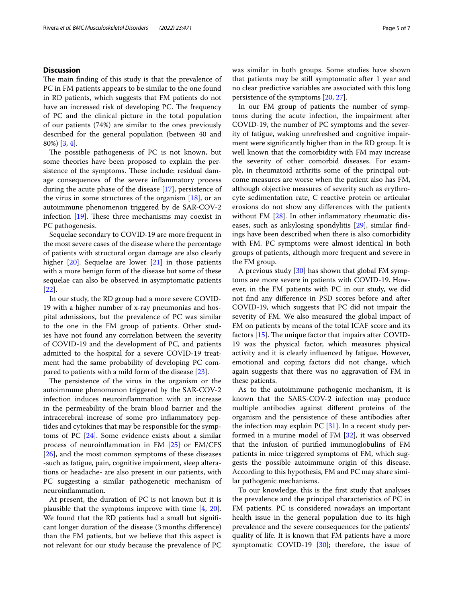#### **Discussion**

The main finding of this study is that the prevalence of PC in FM patients appears to be similar to the one found in RD patients, which suggests that FM patients do not have an increased risk of developing PC. The frequency of PC and the clinical picture in the total population of our patients (74%) are similar to the ones previously described for the general population (between 40 and 80%) [\[3,](#page-5-2) [4](#page-5-3)].

The possible pathogenesis of PC is not known, but some theories have been proposed to explain the persistence of the symptoms. These include: residual damage consequences of the severe infammatory process during the acute phase of the disease [[17\]](#page-6-4), persistence of the virus in some structures of the organism [[18\]](#page-6-5), or an autoimmune phenomenon triggered by de SAR-COV-2 infection  $[19]$  $[19]$  $[19]$ . These three mechanisms may coexist in PC pathogenesis.

Sequelae secondary to COVID-19 are more frequent in the most severe cases of the disease where the percentage of patients with structural organ damage are also clearly higher [\[20\]](#page-6-7). Sequelae are lower [\[21](#page-6-8)] in those patients with a more benign form of the disease but some of these sequelae can also be observed in asymptomatic patients [[22\]](#page-6-9).

In our study, the RD group had a more severe COVID-19 with a higher number of x-ray pneumonias and hospital admissions, but the prevalence of PC was similar to the one in the FM group of patients. Other studies have not found any correlation between the severity of COVID-19 and the development of PC, and patients admitted to the hospital for a severe COVID-19 treatment had the same probability of developing PC compared to patients with a mild form of the disease [\[23\]](#page-6-10).

The persistence of the virus in the organism or the autoimmune phenomenon triggered by the SAR-COV-2 infection induces neuroinfammation with an increase in the permeability of the brain blood barrier and the intracerebral increase of some pro infammatory peptides and cytokines that may be responsible for the symptoms of PC [\[24\]](#page-6-11). Some evidence exists about a similar process of neuroinfammation in FM [[25\]](#page-6-12) or EM/CFS [[26\]](#page-6-13), and the most common symptoms of these diseases -such as fatigue, pain, cognitive impairment, sleep alterations or headache- are also present in our patients, with PC suggesting a similar pathogenetic mechanism of neuroinfammation.

At present, the duration of PC is not known but it is plausible that the symptoms improve with time [\[4](#page-5-3), [20](#page-6-7)]. We found that the RD patients had a small but signifcant longer duration of the disease (3months diference) than the FM patients, but we believe that this aspect is not relevant for our study because the prevalence of PC was similar in both groups. Some studies have shown that patients may be still symptomatic after 1 year and no clear predictive variables are associated with this long persistence of the symptoms [\[20](#page-6-7), [27\]](#page-6-14).

In our FM group of patients the number of symptoms during the acute infection, the impairment after COVID-19, the number of PC symptoms and the severity of fatigue, waking unrefreshed and cognitive impairment were signifcantly higher than in the RD group. It is well known that the comorbidity with FM may increase the severity of other comorbid diseases. For example, in rheumatoid arthritis some of the principal outcome measures are worse when the patient also has FM, although objective measures of severity such as erythrocyte sedimentation rate, C reactive protein or articular erosions do not show any diferences with the patients without FM [\[28](#page-6-15)]. In other inflammatory rheumatic diseases, such as ankylosing spondylitis [\[29](#page-6-16)], similar fndings have been described when there is also comorbidity with FM. PC symptoms were almost identical in both groups of patients, although more frequent and severe in the FM group.

A previous study [\[30](#page-6-17)] has shown that global FM symptoms are more severe in patients with COVID-19. However, in the FM patients with PC in our study, we did not fnd any diference in PSD scores before and after COVID-19, which suggests that PC did not impair the severity of FM. We also measured the global impact of FM on patients by means of the total ICAF score and its factors  $[15]$ . The unique factor that impairs after COVID-19 was the physical factor, which measures physical activity and it is clearly infuenced by fatigue. However, emotional and coping factors did not change, which again suggests that there was no aggravation of FM in these patients.

As to the autoimmune pathogenic mechanism, it is known that the SARS-COV-2 infection may produce multiple antibodies against diferent proteins of the organism and the persistence of these antibodies after the infection may explain PC  $[31]$  $[31]$ . In a recent study performed in a murine model of FM [[32\]](#page-6-19), it was observed that the infusion of purifed immunoglobulins of FM patients in mice triggered symptoms of FM, which suggests the possible autoimmune origin of this disease. According to this hypothesis, FM and PC may share similar pathogenic mechanisms.

To our knowledge, this is the frst study that analyses the prevalence and the principal characteristics of PC in FM patients. PC is considered nowadays an important health issue in the general population due to its high prevalence and the severe consequences for the patients' quality of life. It is known that FM patients have a more symptomatic COVID-19  $[30]$  $[30]$ ; therefore, the issue of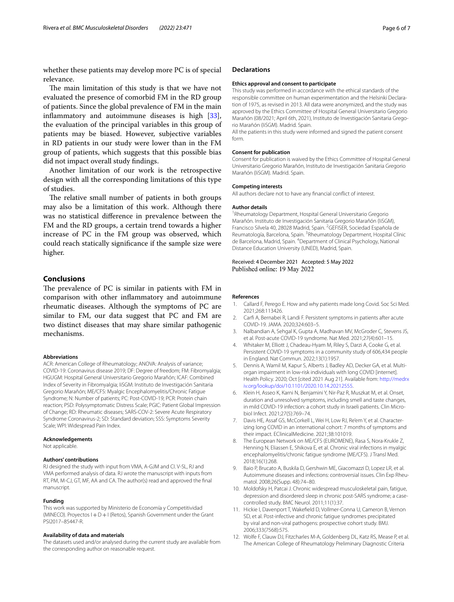whether these patients may develop more PC is of special relevance.

The main limitation of this study is that we have not evaluated the presence of comorbid FM in the RD group of patients. Since the global prevalence of FM in the main infammatory and autoimmune diseases is high [\[33](#page-6-20)], the evaluation of the principal variables in this group of patients may be biased. However, subjective variables in RD patients in our study were lower than in the FM group of patients, which suggests that this possible bias did not impact overall study fndings.

Another limitation of our work is the retrospective design with all the corresponding limitations of this type of studies.

The relative small number of patients in both groups may also be a limitation of this work. Although there was no statistical diference in prevalence between the FM and the RD groups, a certain trend towards a higher increase of PC in the FM group was observed, which could reach statically signifcance if the sample size were higher.

#### **Conclusions**

The prevalence of PC is similar in patients with FM in comparison with other infammatory and autoimmune rheumatic diseases. Although the symptoms of PC are similar to FM, our data suggest that PC and FM are two distinct diseases that may share similar pathogenic mechanisms.

#### **Abbreviations**

ACR: American College of Rheumatology; ANOVA: Analysis of variance; COVID-19: Coronavirus disease 2019; DF: Degree of freedom; FM: Fibromyalgia; HGUGM: Hospital General Universitario Gregorio Marañón; ICAF: Combined Index of Severity in Fibromyalgia; IiSGM: Instituto de Investigación Sanitaria Gregorio Marañón; ME/CFS: Myalgic Encephalomyelitis/Chronic Fatigue Syndrome; N: Number of patients; PC: Post-COVID-19; PCR: Protein chain reaction; PSD: Polysymptomatic Distress Scale; PGIC: Patient Global Impression of Change; RD: Rheumatic diseases; SARS-COV-2: Severe Acute Respiratory Syndrome Coronavirus-2; SD: Standard deviation; SSS: Symptoms Severity Scale; WPI: Widespread Pain Index.

#### **Acknowledgements**

Not applicable.

#### **Authors' contributions**

RJ designed the study with input from VMA, A-GJM and CI. V-SL, RJ and VMA performed analysis of data. RJ wrote the manuscript with inputs from RT, PM, M-CJ, GT, MF, AA and CA. The author(s) read and approved the fnal manuscript.

#### **Funding**

This work was supported by Ministerio de Economía y Competitividad (MINECO). Proyectos I+D+I (Retos), Spanish Government under the Grant PSI2017–85447-R.

#### **Availability of data and materials**

The datasets used and/or analysed during the current study are available from the corresponding author on reasonable request.

#### **Declarations**

#### **Ethics approval and consent to participate**

This study was performed in accordance with the ethical standards of the responsible committee on human experimentation and the Helsinki Declaration of 1975, as revised in 2013. All data were anonymized, and the study was approved by the Ethics Committee of Hospital General Universitario Gregorio Marañón (08/2021; April 6th, 2021), Instituto de Investigación Sanitaria Gregorio Marañón (IiSGM). Madrid. Spain.

All the patients in this study were informed and signed the patient consent form.

#### **Consent for publication**

Consent for publication is waived by the Ethics Committee of Hospital General Universitario Gregorio Marañón, Instituto de Investigación Sanitaria Gregorio Marañón (IiSGM). Madrid. Spain.

#### **Competing interests**

All authors declare not to have any fnancial confict of interest.

#### **Author details**

1 Rheumatology Department, Hospital General Universitario Gregorio Marañón. Instituto de Investigación Sanitaria Gregorio Marañón (IiSGM), Francisco Silvela 40, 28028 Madrid, Spain. <sup>2</sup>GEFISER, Sociedad Española de Reumatología, Barcelona, Spain. <sup>3</sup> Rheumatology Department, Hospital Clínic de Barcelona, Madrid, Spain. <sup>4</sup> Department of Clinical Psychology, National Distance Education University (UNED), Madrid, Spain.

#### Received: 4 December 2021 Accepted: 5 May 2022 Published online: 19 May 2022

#### **References**

- <span id="page-5-0"></span>1. Callard F, Perego E. How and why patients made long Covid. Soc Sci Med. 2021;268:113426.
- <span id="page-5-1"></span>2. Carf A, Bernabei R, Landi F. Persistent symptoms in patients after acute COVID-19. JAMA. 2020;324:603–5.
- <span id="page-5-2"></span>3. Nalbandian A, Sehgal K, Gupta A, Madhavan MV, McGroder C, Stevens JS, et al. Post-acute COVID-19 syndrome. Nat Med. 2021;27(4):601–15.
- <span id="page-5-3"></span>4. Whitaker M, Elliott J, Chadeau-Hyam M, Riley S, Darzi A, Cooke G, et al. Persistent COVID-19 symptoms in a community study of 606,434 people in England. Nat Commun. 2022;13(1):1957.
- <span id="page-5-4"></span>5. Dennis A, Wamil M, Kapur S, Alberts J, Badley AD, Decker GA, et al. Multiorgan impairment in low-risk individuals with long COVID [internet]. Health Policy. 2020; Oct [cited 2021 Aug 21]. Available from: [http://medrx](http://dx.doi.org/10.1101/2020.10.14.20212555) [iv.org/lookup/doi/10.1101/2020.10.14.20212555.](http://dx.doi.org/10.1101/2020.10.14.20212555)
- <span id="page-5-5"></span>6. Klein H, Asseo K, Karni N, Benjamini Y, Nir-Paz R, Muszkat M, et al. Onset, duration and unresolved symptoms, including smell and taste changes, in mild COVID-19 infection: a cohort study in Israeli patients. Clin Microbiol Infect. 2021;27(5):769–74.
- <span id="page-5-6"></span>7. Davis HE, Assaf GS, McCorkell L, Wei H, Low RJ, Re'em Y, et al. Characterizing long COVID in an international cohort: 7 months of symptoms and their impact. EClinicalMedicine. 2021;38:101019.
- <span id="page-5-7"></span>8. The European Network on ME/CFS (EUROMENE), Rasa S, Nora-Krukle Z, Henning N, Eliassen E, Shikova E, et al. Chronic viral infections in myalgic encephalomyelitis/chronic fatigue syndrome (ME/CFS). J Transl Med. 2018;16(1):268.
- <span id="page-5-8"></span>9. Baio P, Brucato A, Buskila D, Gershwin ME, Giacomazzi D, Lopez LR, et al. Autoimmune diseases and infections: controversial issues. Clin Exp Rheumatol. 2008;26(Supp. 48):74–80.
- <span id="page-5-9"></span>10. Moldofsky H, Patcai J. Chronic widespread musculoskeletal pain, fatigue, depression and disordered sleep in chronic post-SARS syndrome; a casecontrolled study. BMC Neurol. 2011;11(1):37.
- <span id="page-5-10"></span>11. Hickie I, Davenport T, Wakefeld D, Vollmer-Conna U, Cameron B, Vernon SD, et al. Post-infective and chronic fatigue syndromes precipitated by viral and non-viral pathogens: prospective cohort study. BMJ. 2006;333(7568):575.
- <span id="page-5-11"></span>12. Wolfe F, Clauw DJ, Fitzcharles M-A, Goldenberg DL, Katz RS, Mease P, et al. The American College of Rheumatology Preliminary Diagnostic Criteria